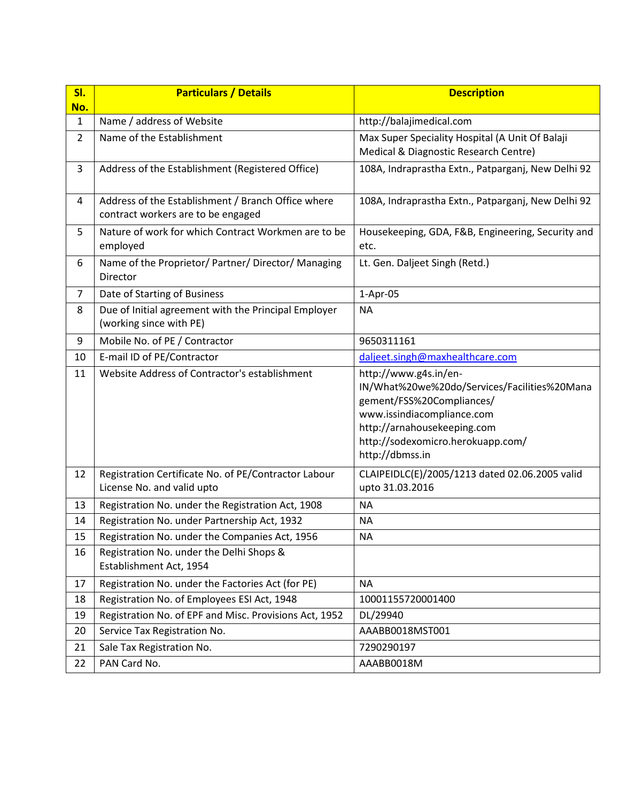| SI.                 | <b>Particulars / Details</b>                                                             | <b>Description</b>                                                                                                                                                                                                      |  |  |
|---------------------|------------------------------------------------------------------------------------------|-------------------------------------------------------------------------------------------------------------------------------------------------------------------------------------------------------------------------|--|--|
| No.<br>$\mathbf{1}$ | Name / address of Website                                                                | http://balajimedical.com                                                                                                                                                                                                |  |  |
| $\overline{2}$      | Name of the Establishment                                                                | Max Super Speciality Hospital (A Unit Of Balaji<br>Medical & Diagnostic Research Centre)                                                                                                                                |  |  |
| 3                   | Address of the Establishment (Registered Office)                                         | 108A, Indraprastha Extn., Patparganj, New Delhi 92                                                                                                                                                                      |  |  |
| 4                   | Address of the Establishment / Branch Office where<br>contract workers are to be engaged | 108A, Indraprastha Extn., Patparganj, New Delhi 92                                                                                                                                                                      |  |  |
| 5                   | Nature of work for which Contract Workmen are to be<br>employed                          | Housekeeping, GDA, F&B, Engineering, Security and<br>etc.                                                                                                                                                               |  |  |
| 6                   | Name of the Proprietor/ Partner/ Director/ Managing<br>Director                          | Lt. Gen. Daljeet Singh (Retd.)                                                                                                                                                                                          |  |  |
| $\overline{7}$      | Date of Starting of Business                                                             | 1-Apr-05                                                                                                                                                                                                                |  |  |
| 8                   | Due of Initial agreement with the Principal Employer<br>(working since with PE)          | <b>NA</b>                                                                                                                                                                                                               |  |  |
| 9                   | Mobile No. of PE / Contractor                                                            | 9650311161                                                                                                                                                                                                              |  |  |
| 10                  | E-mail ID of PE/Contractor                                                               | daljeet.singh@maxhealthcare.com                                                                                                                                                                                         |  |  |
| 11                  | Website Address of Contractor's establishment                                            | http://www.g4s.in/en-<br>IN/What%20we%20do/Services/Facilities%20Mana<br>gement/FSS%20Compliances/<br>www.issindiacompliance.com<br>http://arnahousekeeping.com<br>http://sodexomicro.herokuapp.com/<br>http://dbmss.in |  |  |
| 12                  | Registration Certificate No. of PE/Contractor Labour<br>License No. and valid upto       | CLAIPEIDLC(E)/2005/1213 dated 02.06.2005 valid<br>upto 31.03.2016                                                                                                                                                       |  |  |
| 13                  | Registration No. under the Registration Act, 1908                                        | <b>NA</b>                                                                                                                                                                                                               |  |  |
| 14                  | Registration No. under Partnership Act, 1932                                             | ΝA                                                                                                                                                                                                                      |  |  |
| 15                  | Registration No. under the Companies Act, 1956                                           | <b>NA</b>                                                                                                                                                                                                               |  |  |
| 16                  | Registration No. under the Delhi Shops &<br>Establishment Act, 1954                      |                                                                                                                                                                                                                         |  |  |
| 17                  | Registration No. under the Factories Act (for PE)                                        | <b>NA</b>                                                                                                                                                                                                               |  |  |
| 18                  | Registration No. of Employees ESI Act, 1948                                              | 10001155720001400                                                                                                                                                                                                       |  |  |
| 19                  | Registration No. of EPF and Misc. Provisions Act, 1952                                   | DL/29940                                                                                                                                                                                                                |  |  |
| 20                  | Service Tax Registration No.                                                             | AAABB0018MST001                                                                                                                                                                                                         |  |  |
| 21                  | Sale Tax Registration No.                                                                | 7290290197                                                                                                                                                                                                              |  |  |
| 22                  | PAN Card No.                                                                             | AAABB0018M                                                                                                                                                                                                              |  |  |